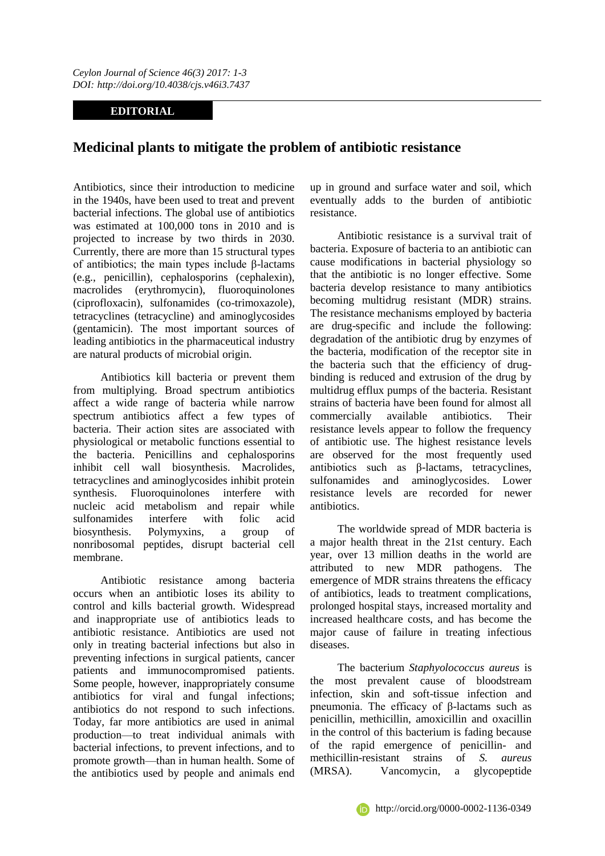## **EDITORIAL**

## **Medicinal plants to mitigate the problem of antibiotic resistance**

Antibiotics, since their introduction to medicine in the 1940s, have been used to treat and prevent bacterial infections. The global use of antibiotics was estimated at 100,000 tons in 2010 and is projected to increase by two thirds in 2030. Currently, there are more than 15 structural types of antibiotics; the main types include β-lactams (e.g., penicillin), cephalosporins (cephalexin), macrolides (erythromycin), fluoroquinolones (ciprofloxacin), sulfonamides (co-trimoxazole), tetracyclines (tetracycline) and aminoglycosides (gentamicin). The most important sources of leading antibiotics in the pharmaceutical industry are natural products of microbial origin.

Antibiotics kill bacteria or prevent them from multiplying. Broad spectrum antibiotics affect a wide range of bacteria while narrow spectrum antibiotics affect a few types of bacteria. Their action sites are associated with physiological or metabolic functions essential to the bacteria. Penicillins and cephalosporins inhibit cell wall biosynthesis. Macrolides, tetracyclines and aminoglycosides inhibit protein synthesis. Fluoroquinolones interfere with nucleic acid metabolism and repair while sulfonamides interfere with folic acid biosynthesis. Polymyxins, a group of nonribosomal peptides, disrupt bacterial cell membrane.

Antibiotic resistance among bacteria occurs when an antibiotic loses its ability to control and kills bacterial growth. Widespread and inappropriate use of antibiotics leads to antibiotic resistance. Antibiotics are used not only in treating bacterial infections but also in preventing infections in surgical patients, cancer patients and immunocompromised patients. Some people, however, inappropriately consume antibiotics for viral and fungal infections; antibiotics do not respond to such infections. Today, far more antibiotics are used in animal production—to treat individual animals with bacterial infections, to prevent infections, and to promote growth—than in human health. Some of the antibiotics used by people and animals end up in ground and surface water and soil, which eventually adds to the burden of antibiotic resistance.

Antibiotic resistance is a survival trait of bacteria. Exposure of bacteria to an antibiotic can cause modifications in bacterial physiology so that the antibiotic is no longer effective. Some bacteria develop resistance to many antibiotics becoming multidrug resistant (MDR) strains. The resistance mechanisms employed by bacteria are drug-specific and include the following: degradation of the antibiotic drug by enzymes of the bacteria, modification of the receptor site in the bacteria such that the efficiency of drugbinding is reduced and extrusion of the drug by multidrug efflux pumps of the bacteria. Resistant strains of bacteria have been found for almost all commercially available antibiotics. Their resistance levels appear to follow the frequency of antibiotic use. The highest resistance levels are observed for the most frequently used antibiotics such as β-lactams, tetracyclines, sulfonamides and aminoglycosides. Lower resistance levels are recorded for newer antibiotics.

The worldwide spread of MDR bacteria is a major health threat in the 21st century. Each year, over 13 million deaths in the world are attributed to new MDR pathogens. The emergence of MDR strains threatens the efficacy of antibiotics, leads to treatment complications, prolonged hospital stays, increased mortality and increased healthcare costs, and has become the major cause of failure in treating infectious diseases.

The bacterium *Staphyolococcus aureus* is the most prevalent cause of bloodstream infection, skin and soft-tissue infection and pneumonia. The efficacy of β-lactams such as penicillin, methicillin, amoxicillin and oxacillin in the control of this bacterium is fading because of the rapid emergence of penicillin- and methicillin-resistant strains of *S. aureus* (MRSA). Vancomycin, a glycopeptide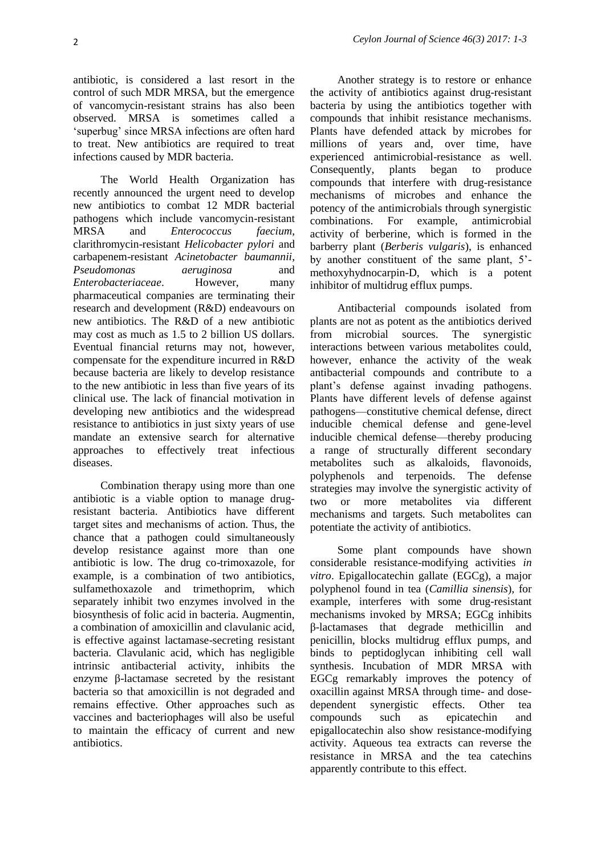antibiotic, is considered a last resort in the control of such MDR MRSA, but the emergence of vancomycin-resistant strains has also been observed. MRSA is sometimes called a 'superbug' since MRSA infections are often hard to treat. New antibiotics are required to treat infections caused by MDR bacteria.

The World Health Organization has recently announced the urgent need to develop new antibiotics to combat 12 MDR bacterial pathogens which include vancomycin-resistant MRSA and *Enterococcus faecium*, clarithromycin-resistant *Helicobacter pylori* and carbapenem-resistant *Acinetobacter baumannii*, *Pseudomonas aeruginosa* and *Enterobacteriaceae*. However, many pharmaceutical companies are terminating their research and development (R&D) endeavours on new antibiotics. The R&D of a new antibiotic may cost as much as 1.5 to 2 billion US dollars. Eventual financial returns may not, however, compensate for the expenditure incurred in R&D because bacteria are likely to develop resistance to the new antibiotic in less than five years of its clinical use. The lack of financial motivation in developing new antibiotics and the widespread resistance to antibiotics in just sixty years of use mandate an extensive search for alternative approaches to effectively treat infectious diseases.

Combination therapy using more than one antibiotic is a viable option to manage drugresistant bacteria. Antibiotics have different target sites and mechanisms of action. Thus, the chance that a pathogen could simultaneously develop resistance against more than one antibiotic is low. The drug co-trimoxazole, for example, is a combination of two antibiotics, sulfamethoxazole and trimethoprim, which separately inhibit two enzymes involved in the biosynthesis of folic acid in bacteria. Augmentin, a combination of amoxicillin and clavulanic acid, is effective against lactamase-secreting resistant bacteria. Clavulanic acid, which has negligible intrinsic antibacterial activity, inhibits the enzyme β-lactamase secreted by the resistant bacteria so that amoxicillin is not degraded and remains effective. Other approaches such as vaccines and bacteriophages will also be useful to maintain the efficacy of current and new antibiotics.

Another strategy is to restore or enhance the activity of antibiotics against drug-resistant bacteria by using the antibiotics together with compounds that inhibit resistance mechanisms. Plants have defended attack by microbes for millions of years and, over time, have experienced antimicrobial-resistance as well. Consequently, plants began to produce compounds that interfere with drug-resistance mechanisms of microbes and enhance the potency of the antimicrobials through synergistic combinations. For example, antimicrobial activity of berberine, which is formed in the barberry plant (*Berberis vulgaris*), is enhanced by another constituent of the same plant, 5' methoxyhydnocarpin-D, which is a potent inhibitor of multidrug efflux pumps.

Antibacterial compounds isolated from plants are not as potent as the antibiotics derived from microbial sources. The synergistic interactions between various metabolites could, however, enhance the activity of the weak antibacterial compounds and contribute to a plant's defense against invading pathogens. Plants have different levels of defense against pathogens—constitutive chemical defense, direct inducible chemical defense and gene-level inducible chemical defense—thereby producing a range of structurally different secondary metabolites such as alkaloids, flavonoids, polyphenols and terpenoids. The defense strategies may involve the synergistic activity of two or more metabolites via different mechanisms and targets. Such metabolites can potentiate the activity of antibiotics.

Some plant compounds have shown considerable resistance-modifying activities *in vitro*. Epigallocatechin gallate (EGCg), a major polyphenol found in tea (*Camillia sinensis*), for example, interferes with some drug-resistant mechanisms invoked by MRSA; EGCg inhibits β-lactamases that degrade methicillin and penicillin, blocks multidrug efflux pumps, and binds to peptidoglycan inhibiting cell wall synthesis. Incubation of MDR MRSA with EGCg remarkably improves the potency of oxacillin against MRSA through time- and dosedependent synergistic effects. Other tea compounds such as epicatechin and epigallocatechin also show resistance-modifying activity. Aqueous tea extracts can reverse the resistance in MRSA and the tea catechins apparently contribute to this effect.